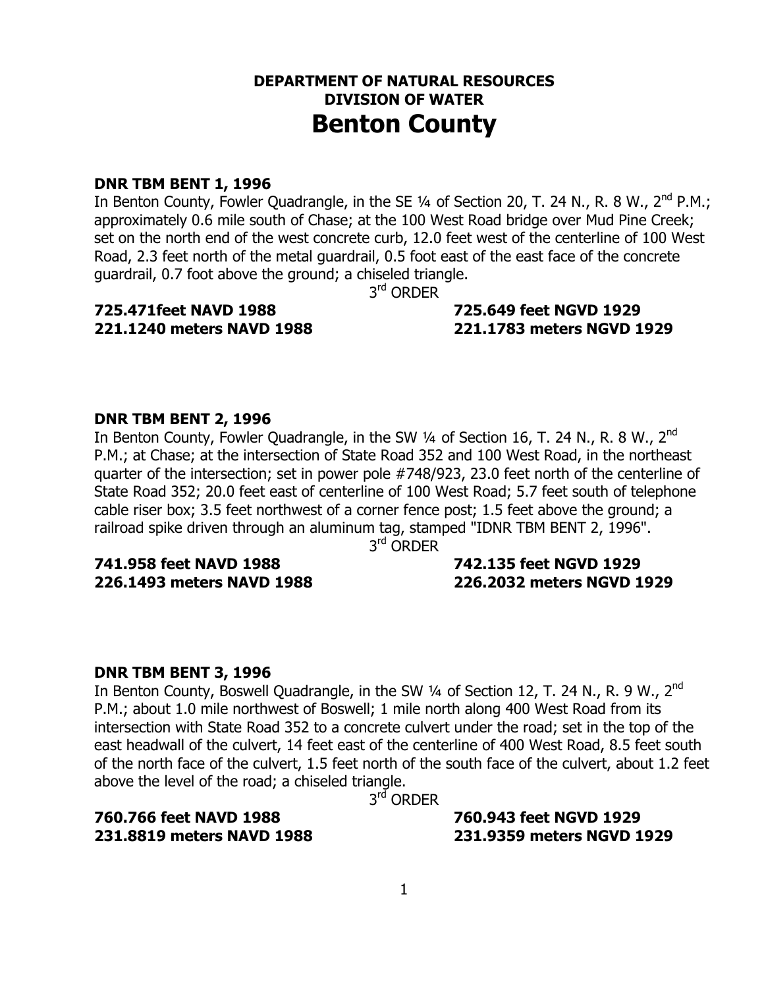### **DEPARTMENT OF NATURAL RESOURCES DIVISION OF WATER Benton County**

#### **DNR TBM BENT 1, 1996**

In Benton County, Fowler Quadrangle, in the SE 1/4 of Section 20, T. 24 N., R. 8 W., 2<sup>nd</sup> P.M.; approximately 0.6 mile south of Chase; at the 100 West Road bridge over Mud Pine Creek; set on the north end of the west concrete curb, 12.0 feet west of the centerline of 100 West Road, 2.3 feet north of the metal guardrail, 0.5 foot east of the east face of the concrete guardrail, 0.7 foot above the ground; a chiseled triangle.

3<sup>rd</sup> ORDER

### **725.471feet NAVD 1988 725.649 feet NGVD 1929**

# **221.1240 meters NAVD 1988 221.1783 meters NGVD 1929**

### **DNR TBM BENT 2, 1996**

In Benton County, Fowler Quadrangle, in the SW  $\frac{1}{4}$  of Section 16, T. 24 N., R. 8 W., 2<sup>nd</sup> P.M.; at Chase; at the intersection of State Road 352 and 100 West Road, in the northeast quarter of the intersection; set in power pole #748/923, 23.0 feet north of the centerline of State Road 352; 20.0 feet east of centerline of 100 West Road; 5.7 feet south of telephone cable riser box; 3.5 feet northwest of a corner fence post; 1.5 feet above the ground; a railroad spike driven through an aluminum tag, stamped "IDNR TBM BENT 2, 1996".

3<sup>rd</sup> ORDER

### **741.958 feet NAVD 1988 742.135 feet NGVD 1929**

### **226.1493 meters NAVD 1988 226.2032 meters NGVD 1929**

#### **DNR TBM BENT 3, 1996**

In Benton County, Boswell Quadrangle, in the SW  $\frac{1}{4}$  of Section 12, T. 24 N., R. 9 W., 2<sup>nd</sup> P.M.; about 1.0 mile northwest of Boswell; 1 mile north along 400 West Road from its intersection with State Road 352 to a concrete culvert under the road; set in the top of the east headwall of the culvert, 14 feet east of the centerline of 400 West Road, 8.5 feet south of the north face of the culvert, 1.5 feet north of the south face of the culvert, about 1.2 feet above the level of the road; a chiseled triangle.

3<sup>rd</sup> ORDER

**760.766 feet NAVD 1988 760.943 feet NGVD 1929** 

**231.8819 meters NAVD 1988 231.9359 meters NGVD 1929**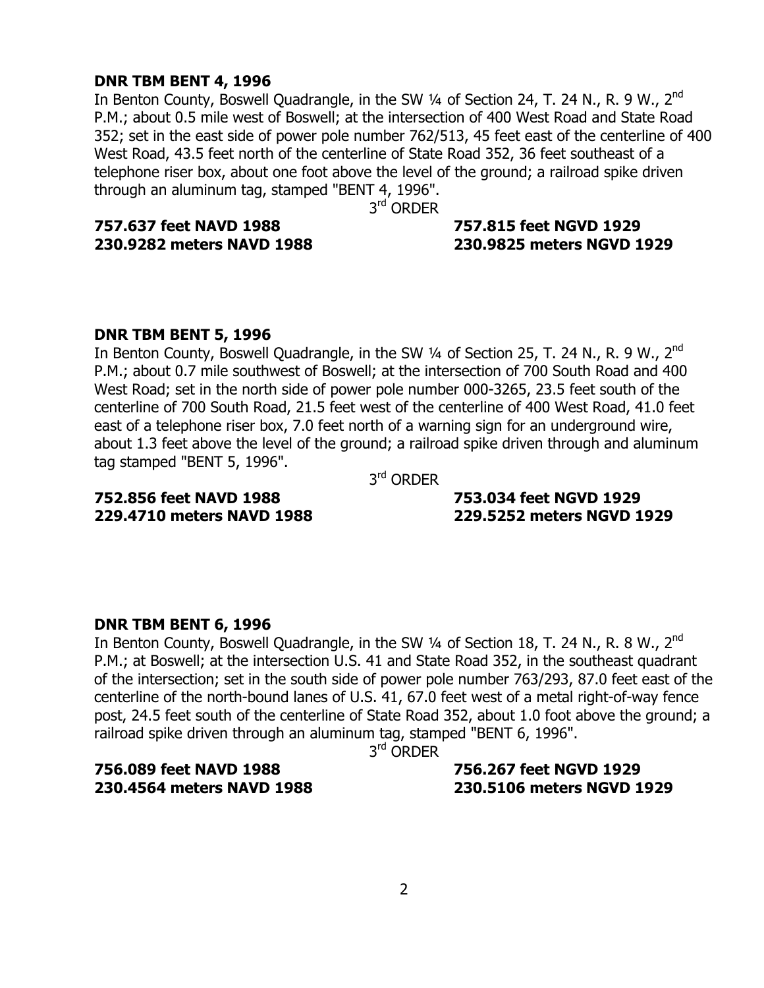#### **DNR TBM BENT 4, 1996**

In Benton County, Boswell Quadrangle, in the SW 1/4 of Section 24, T. 24 N., R. 9 W., 2<sup>nd</sup> P.M.; about 0.5 mile west of Boswell; at the intersection of 400 West Road and State Road 352; set in the east side of power pole number 762/513, 45 feet east of the centerline of 400 West Road, 43.5 feet north of the centerline of State Road 352, 36 feet southeast of a telephone riser box, about one foot above the level of the ground; a railroad spike driven through an aluminum tag, stamped "BENT 4, 1996".

3<sup>rd</sup> ORDER

### **757.637 feet NAVD 1988 757.815 feet NGVD 1929**

### **230.9282 meters NAVD 1988 230.9825 meters NGVD 1929**

### **DNR TBM BENT 5, 1996**

In Benton County, Boswell Quadrangle, in the SW 1/4 of Section 25, T. 24 N., R. 9 W., 2<sup>nd</sup> P.M.; about 0.7 mile southwest of Boswell; at the intersection of 700 South Road and 400 West Road; set in the north side of power pole number 000-3265, 23.5 feet south of the centerline of 700 South Road, 21.5 feet west of the centerline of 400 West Road, 41.0 feet east of a telephone riser box, 7.0 feet north of a warning sign for an underground wire, about 1.3 feet above the level of the ground; a railroad spike driven through and aluminum tag stamped "BENT 5, 1996".

3rd ORDER

### **752.856 feet NAVD 1988 753.034 feet NGVD 1929**

## **229.4710 meters NAVD 1988 229.5252 meters NGVD 1929**

#### **DNR TBM BENT 6, 1996**

In Benton County, Boswell Quadrangle, in the SW 1/4 of Section 18, T. 24 N., R. 8 W., 2<sup>nd</sup> P.M.; at Boswell; at the intersection U.S. 41 and State Road 352, in the southeast quadrant of the intersection; set in the south side of power pole number 763/293, 87.0 feet east of the centerline of the north-bound lanes of U.S. 41, 67.0 feet west of a metal right-of-way fence post, 24.5 feet south of the centerline of State Road 352, about 1.0 foot above the ground; a railroad spike driven through an aluminum tag, stamped "BENT 6, 1996".

3<sup>rd</sup> ORDER

## **756.089 feet NAVD 1988 756.267 feet NGVD 1929**

## **230.4564 meters NAVD 1988 230.5106 meters NGVD 1929**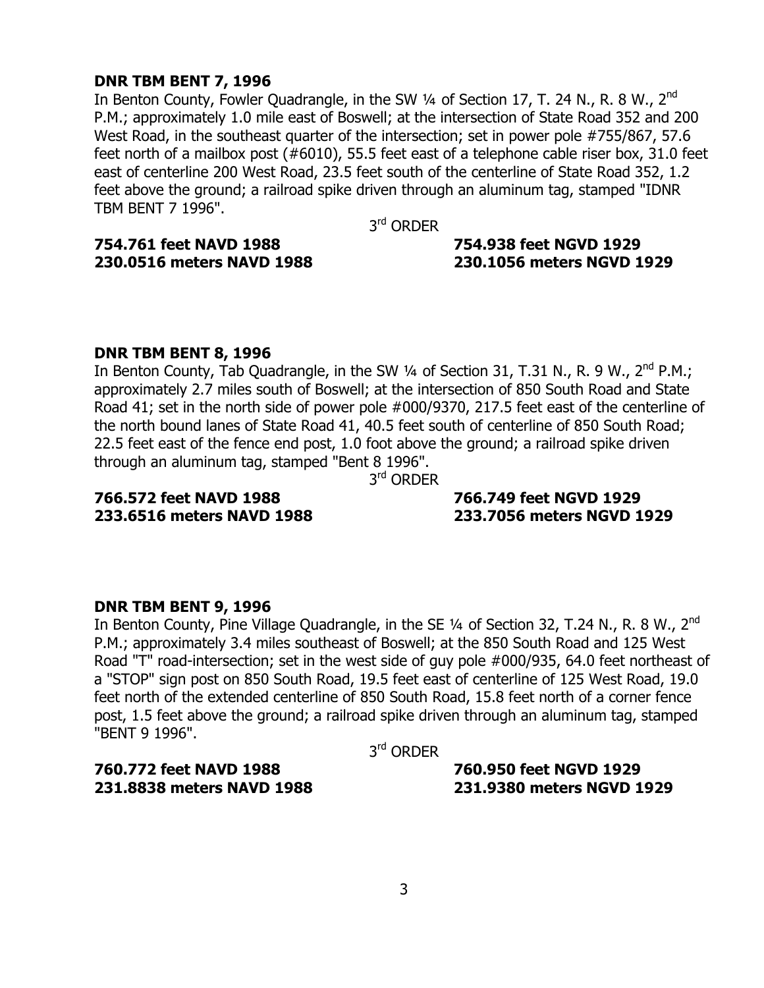#### **DNR TBM BENT 7, 1996**

In Benton County, Fowler Quadrangle, in the SW  $\frac{1}{4}$  of Section 17, T. 24 N., R. 8 W., 2<sup>nd</sup> P.M.; approximately 1.0 mile east of Boswell; at the intersection of State Road 352 and 200 West Road, in the southeast quarter of the intersection; set in power pole #755/867, 57.6 feet north of a mailbox post (#6010), 55.5 feet east of a telephone cable riser box, 31.0 feet east of centerline 200 West Road, 23.5 feet south of the centerline of State Road 352, 1.2 feet above the ground; a railroad spike driven through an aluminum tag, stamped "IDNR TBM BENT 7 1996".

3<sup>rd</sup> ORDER

**754.761 feet NAVD 1988 754.938 feet NGVD 1929** 

### **230.0516 meters NAVD 1988 230.1056 meters NGVD 1929**

#### **DNR TBM BENT 8, 1996**

In Benton County, Tab Quadrangle, in the SW  $\frac{1}{4}$  of Section 31, T.31 N., R. 9 W., 2<sup>nd</sup> P.M.; approximately 2.7 miles south of Boswell; at the intersection of 850 South Road and State Road 41; set in the north side of power pole #000/9370, 217.5 feet east of the centerline of the north bound lanes of State Road 41, 40.5 feet south of centerline of 850 South Road; 22.5 feet east of the fence end post, 1.0 foot above the ground; a railroad spike driven through an aluminum tag, stamped "Bent 8 1996".

3rd ORDER

### **766.572 feet NAVD 1988 766.749 feet NGVD 1929 233.6516 meters NAVD 1988 233.7056 meters NGVD 1929**

### **DNR TBM BENT 9, 1996**

In Benton County, Pine Village Quadrangle, in the SE  $\frac{1}{4}$  of Section 32, T.24 N., R. 8 W., 2<sup>nd</sup> P.M.; approximately 3.4 miles southeast of Boswell; at the 850 South Road and 125 West Road "T" road-intersection; set in the west side of guy pole #000/935, 64.0 feet northeast of a "STOP" sign post on 850 South Road, 19.5 feet east of centerline of 125 West Road, 19.0 feet north of the extended centerline of 850 South Road, 15.8 feet north of a corner fence post, 1.5 feet above the ground; a railroad spike driven through an aluminum tag, stamped "BENT 9 1996".

3rd ORDER

**760.772 feet NAVD 1988 760.950 feet NGVD 1929** 

**231.8838 meters NAVD 1988 231.9380 meters NGVD 1929**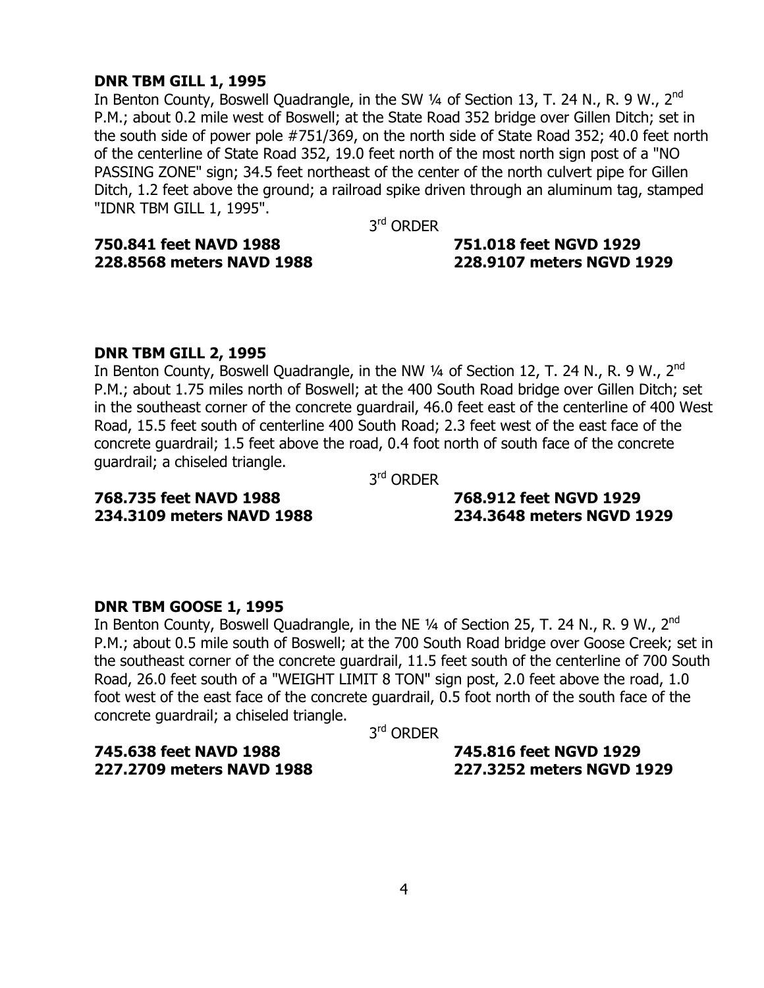#### **DNR TBM GILL 1, 1995**

In Benton County, Boswell Quadrangle, in the SW 1/4 of Section 13, T. 24 N., R. 9 W., 2<sup>nd</sup> P.M.; about 0.2 mile west of Boswell; at the State Road 352 bridge over Gillen Ditch; set in the south side of power pole #751/369, on the north side of State Road 352; 40.0 feet north of the centerline of State Road 352, 19.0 feet north of the most north sign post of a "NO PASSING ZONE" sign; 34.5 feet northeast of the center of the north culvert pipe for Gillen Ditch, 1.2 feet above the ground; a railroad spike driven through an aluminum tag, stamped "IDNR TBM GILL 1, 1995".

3<sup>rd</sup> ORDER

#### **750.841 feet NAVD 1988 751.018 feet NGVD 1929 228.8568 meters NAVD 1988 228.9107 meters NGVD 1929**

#### **DNR TBM GILL 2, 1995**

In Benton County, Boswell Quadrangle, in the NW  $\frac{1}{4}$  of Section 12, T. 24 N., R. 9 W., 2<sup>nd</sup> P.M.; about 1.75 miles north of Boswell; at the 400 South Road bridge over Gillen Ditch; set in the southeast corner of the concrete guardrail, 46.0 feet east of the centerline of 400 West Road, 15.5 feet south of centerline 400 South Road; 2.3 feet west of the east face of the concrete guardrail; 1.5 feet above the road, 0.4 foot north of south face of the concrete guardrail; a chiseled triangle.

3rd ORDER

#### **768.735 feet NAVD 1988 768.912 feet NGVD 1929 234.3109 meters NAVD 1988 234.3648 meters NGVD 1929**

#### **DNR TBM GOOSE 1, 1995**

In Benton County, Boswell Quadrangle, in the NE  $\frac{1}{4}$  of Section 25, T. 24 N., R. 9 W., 2<sup>nd</sup> P.M.; about 0.5 mile south of Boswell; at the 700 South Road bridge over Goose Creek; set in the southeast corner of the concrete guardrail, 11.5 feet south of the centerline of 700 South Road, 26.0 feet south of a "WEIGHT LIMIT 8 TON" sign post, 2.0 feet above the road, 1.0 foot west of the east face of the concrete guardrail, 0.5 foot north of the south face of the concrete guardrail; a chiseled triangle.

3rd ORDER

**745.638 feet NAVD 1988 745.816 feet NGVD 1929 227.2709 meters NAVD 1988 227.3252 meters NGVD 1929**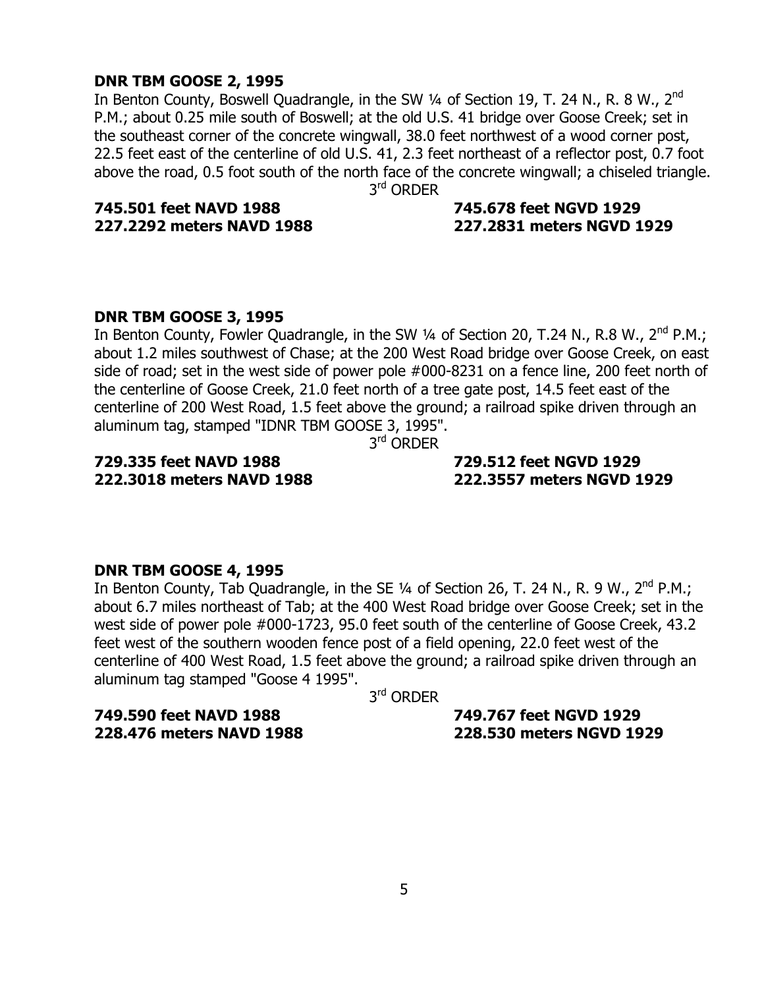#### **DNR TBM GOOSE 2, 1995**

In Benton County, Boswell Quadrangle, in the SW  $\frac{1}{4}$  of Section 19, T. 24 N., R. 8 W., 2<sup>nd</sup> P.M.; about 0.25 mile south of Boswell; at the old U.S. 41 bridge over Goose Creek; set in the southeast corner of the concrete wingwall, 38.0 feet northwest of a wood corner post, 22.5 feet east of the centerline of old U.S. 41, 2.3 feet northeast of a reflector post, 0.7 foot above the road, 0.5 foot south of the north face of the concrete wingwall; a chiseled triangle.

3<sup>rd</sup> ORDER

### **745.501 feet NAVD 1988 745.678 feet NGVD 1929**

### **227.2292 meters NAVD 1988 227.2831 meters NGVD 1929**

#### **DNR TBM GOOSE 3, 1995**

In Benton County, Fowler Quadrangle, in the SW 1/4 of Section 20, T.24 N., R.8 W., 2<sup>nd</sup> P.M.; about 1.2 miles southwest of Chase; at the 200 West Road bridge over Goose Creek, on east side of road; set in the west side of power pole #000-8231 on a fence line, 200 feet north of the centerline of Goose Creek, 21.0 feet north of a tree gate post, 14.5 feet east of the centerline of 200 West Road, 1.5 feet above the ground; a railroad spike driven through an aluminum tag, stamped "IDNR TBM GOOSE 3, 1995".

3<sup>rd</sup> ORDER

### **729.335 feet NAVD 1988 729.512 feet NGVD 1929**

### **222.3018 meters NAVD 1988 222.3557 meters NGVD 1929**

#### **DNR TBM GOOSE 4, 1995**

In Benton County, Tab Quadrangle, in the SE  $\frac{1}{4}$  of Section 26, T. 24 N., R. 9 W., 2<sup>nd</sup> P.M.; about 6.7 miles northeast of Tab; at the 400 West Road bridge over Goose Creek; set in the west side of power pole #000-1723, 95.0 feet south of the centerline of Goose Creek, 43.2 feet west of the southern wooden fence post of a field opening, 22.0 feet west of the centerline of 400 West Road, 1.5 feet above the ground; a railroad spike driven through an aluminum tag stamped "Goose 4 1995".

3<sup>rd</sup> ORDER

**749.590 feet NAVD 1988 749.767 feet NGVD 1929** 

**228.476 meters NAVD 1988 228.530 meters NGVD 1929**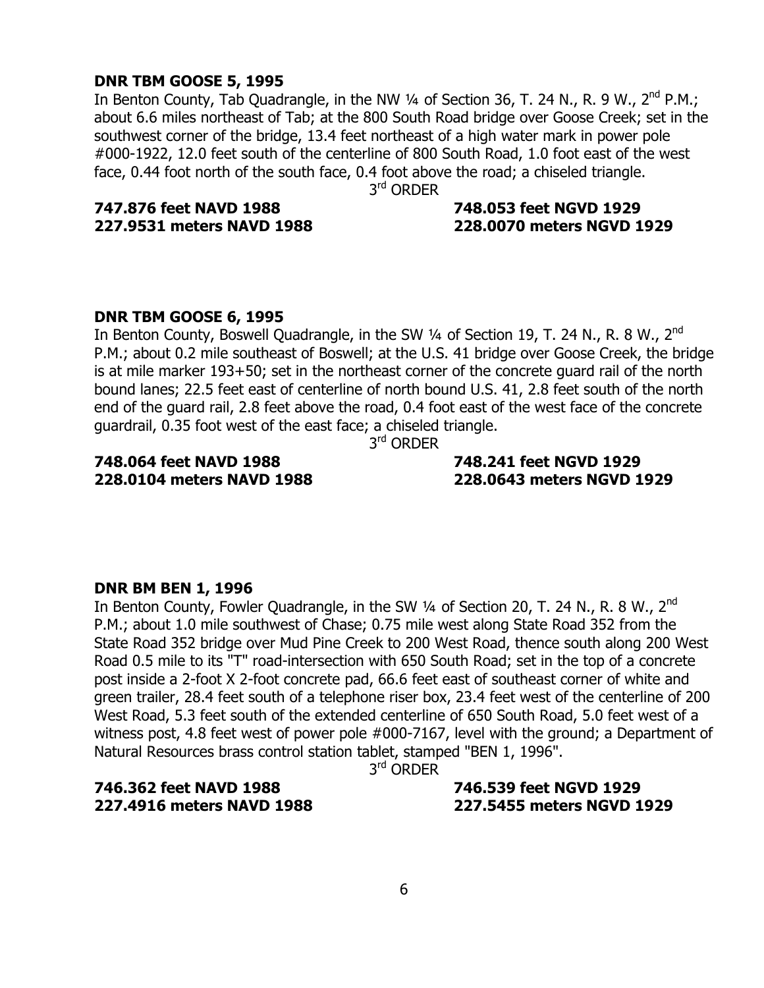#### **DNR TBM GOOSE 5, 1995**

In Benton County, Tab Quadrangle, in the NW  $\frac{1}{4}$  of Section 36, T. 24 N., R. 9 W., 2<sup>nd</sup> P.M.; about 6.6 miles northeast of Tab; at the 800 South Road bridge over Goose Creek; set in the southwest corner of the bridge, 13.4 feet northeast of a high water mark in power pole #000-1922, 12.0 feet south of the centerline of 800 South Road, 1.0 foot east of the west face, 0.44 foot north of the south face, 0.4 foot above the road; a chiseled triangle.

3<sup>rd</sup> ORDER

## **747.876 feet NAVD 1988 748.053 feet NGVD 1929**

### **227.9531 meters NAVD 1988 228.0070 meters NGVD 1929**

#### **DNR TBM GOOSE 6, 1995**

In Benton County, Boswell Quadrangle, in the SW 1/4 of Section 19, T. 24 N., R. 8 W., 2<sup>nd</sup> P.M.; about 0.2 mile southeast of Boswell; at the U.S. 41 bridge over Goose Creek, the bridge is at mile marker 193+50; set in the northeast corner of the concrete guard rail of the north bound lanes; 22.5 feet east of centerline of north bound U.S. 41, 2.8 feet south of the north end of the guard rail, 2.8 feet above the road, 0.4 foot east of the west face of the concrete guardrail, 0.35 foot west of the east face; a chiseled triangle.

3<sup>rd</sup> ORDER

### **748.064 feet NAVD 1988 748.241 feet NGVD 1929**

### **228.0104 meters NAVD 1988 228.0643 meters NGVD 1929**

#### **DNR BM BEN 1, 1996**

In Benton County, Fowler Quadrangle, in the SW  $\frac{1}{4}$  of Section 20, T. 24 N., R. 8 W., 2<sup>nd</sup> P.M.; about 1.0 mile southwest of Chase; 0.75 mile west along State Road 352 from the State Road 352 bridge over Mud Pine Creek to 200 West Road, thence south along 200 West Road 0.5 mile to its "T" road-intersection with 650 South Road; set in the top of a concrete post inside a 2-foot X 2-foot concrete pad, 66.6 feet east of southeast corner of white and green trailer, 28.4 feet south of a telephone riser box, 23.4 feet west of the centerline of 200 West Road, 5.3 feet south of the extended centerline of 650 South Road, 5.0 feet west of a witness post, 4.8 feet west of power pole #000-7167, level with the ground; a Department of Natural Resources brass control station tablet, stamped "BEN 1, 1996".

3<sup>rd</sup> ORDFR

### **746.362 feet NAVD 1988 746.539 feet NGVD 1929**

## **227.4916 meters NAVD 1988 227.5455 meters NGVD 1929**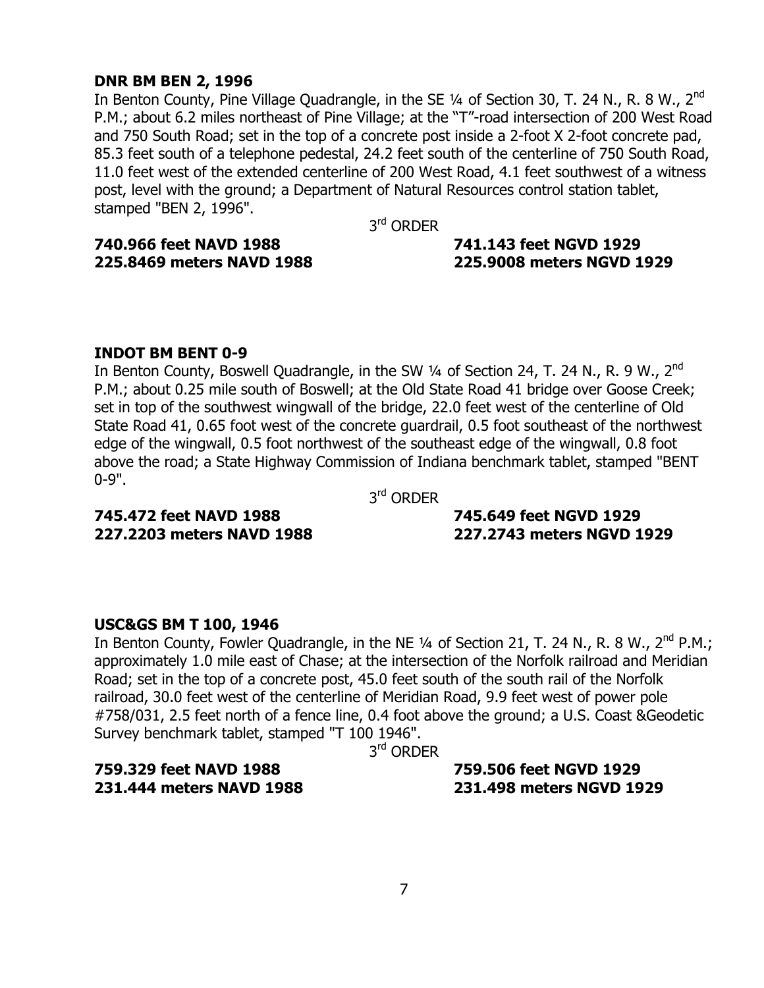#### **DNR BM BEN 2, 1996**

In Benton County, Pine Village Quadrangle, in the SE  $\frac{1}{4}$  of Section 30, T. 24 N., R. 8 W., 2<sup>nd</sup> P.M.; about 6.2 miles northeast of Pine Village; at the "T"-road intersection of 200 West Road and 750 South Road; set in the top of a concrete post inside a 2-foot X 2-foot concrete pad, 85.3 feet south of a telephone pedestal, 24.2 feet south of the centerline of 750 South Road, 11.0 feet west of the extended centerline of 200 West Road, 4.1 feet southwest of a witness post, level with the ground; a Department of Natural Resources control station tablet, stamped "BEN 2, 1996".

3<sup>rd</sup> ORDER

**740.966 feet NAVD 1988 741.143 feet NGVD 1929** 

### **225.8469 meters NAVD 1988 225.9008 meters NGVD 1929**

#### **INDOT BM BENT 0-9**

In Benton County, Boswell Quadrangle, in the SW 1/4 of Section 24, T. 24 N., R. 9 W., 2<sup>nd</sup> P.M.; about 0.25 mile south of Boswell; at the Old State Road 41 bridge over Goose Creek; set in top of the southwest wingwall of the bridge, 22.0 feet west of the centerline of Old State Road 41, 0.65 foot west of the concrete guardrail, 0.5 foot southeast of the northwest edge of the wingwall, 0.5 foot northwest of the southeast edge of the wingwall, 0.8 foot above the road; a State Highway Commission of Indiana benchmark tablet, stamped "BENT 0-9".

3<sup>rd</sup> ORDER

### **745.472 feet NAVD 1988 745.649 feet NGVD 1929**

**227.2203 meters NAVD 1988 227.2743 meters NGVD 1929** 

#### **USC&GS BM T 100, 1946**

In Benton County, Fowler Quadrangle, in the NE  $\frac{1}{4}$  of Section 21, T. 24 N., R. 8 W., 2<sup>nd</sup> P.M.; approximately 1.0 mile east of Chase; at the intersection of the Norfolk railroad and Meridian Road; set in the top of a concrete post, 45.0 feet south of the south rail of the Norfolk railroad, 30.0 feet west of the centerline of Meridian Road, 9.9 feet west of power pole #758/031, 2.5 feet north of a fence line, 0.4 foot above the ground; a U.S. Coast &Geodetic Survey benchmark tablet, stamped "T 100 1946".

3rd ORDER

**759.329 feet NAVD 1988 759.506 feet NGVD 1929** 

**231.444 meters NAVD 1988 231.498 meters NGVD 1929**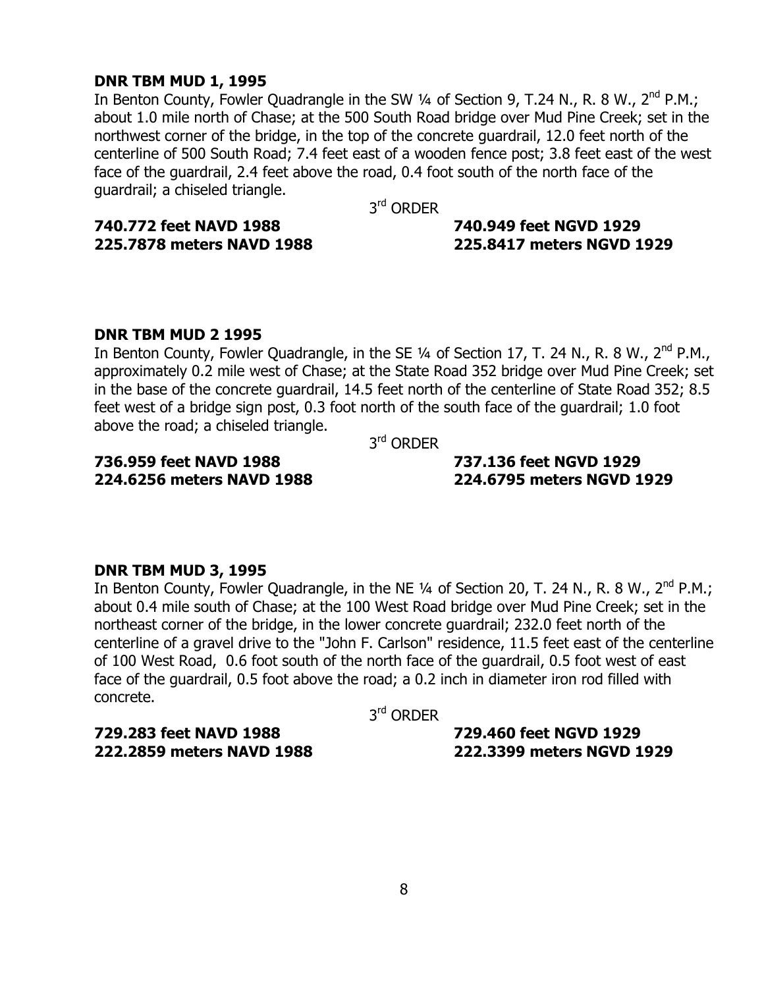#### **DNR TBM MUD 1, 1995**

In Benton County, Fowler Quadrangle in the SW 1/4 of Section 9, T.24 N., R. 8 W., 2<sup>nd</sup> P.M.; about 1.0 mile north of Chase; at the 500 South Road bridge over Mud Pine Creek; set in the northwest corner of the bridge, in the top of the concrete guardrail, 12.0 feet north of the centerline of 500 South Road; 7.4 feet east of a wooden fence post; 3.8 feet east of the west face of the guardrail, 2.4 feet above the road, 0.4 foot south of the north face of the guardrail; a chiseled triangle.

3<sup>rd</sup> ORDER

**740.772 feet NAVD 1988 740.949 feet NGVD 1929 225.7878 meters NAVD 1988 225.8417 meters NGVD 1929** 

#### **DNR TBM MUD 2 1995**

In Benton County, Fowler Quadrangle, in the SE 1/4 of Section 17, T. 24 N., R. 8 W., 2<sup>nd</sup> P.M., approximately 0.2 mile west of Chase; at the State Road 352 bridge over Mud Pine Creek; set in the base of the concrete guardrail, 14.5 feet north of the centerline of State Road 352; 8.5 feet west of a bridge sign post, 0.3 foot north of the south face of the guardrail; 1.0 foot above the road; a chiseled triangle.

3<sup>rd</sup> ORDER

### **736.959 feet NAVD 1988 737.136 feet NGVD 1929**

**224.6256 meters NAVD 1988 224.6795 meters NGVD 1929** 

#### **DNR TBM MUD 3, 1995**

In Benton County, Fowler Quadrangle, in the NE  $\frac{1}{4}$  of Section 20, T. 24 N., R. 8 W., 2<sup>nd</sup> P.M.; about 0.4 mile south of Chase; at the 100 West Road bridge over Mud Pine Creek; set in the northeast corner of the bridge, in the lower concrete guardrail; 232.0 feet north of the centerline of a gravel drive to the "John F. Carlson" residence, 11.5 feet east of the centerline of 100 West Road, 0.6 foot south of the north face of the guardrail, 0.5 foot west of east face of the guardrail, 0.5 foot above the road; a 0.2 inch in diameter iron rod filled with concrete.

3<sup>rd</sup> ORDER

**729.283 feet NAVD 1988 729.460 feet NGVD 1929** 

**222.2859 meters NAVD 1988 222.3399 meters NGVD 1929**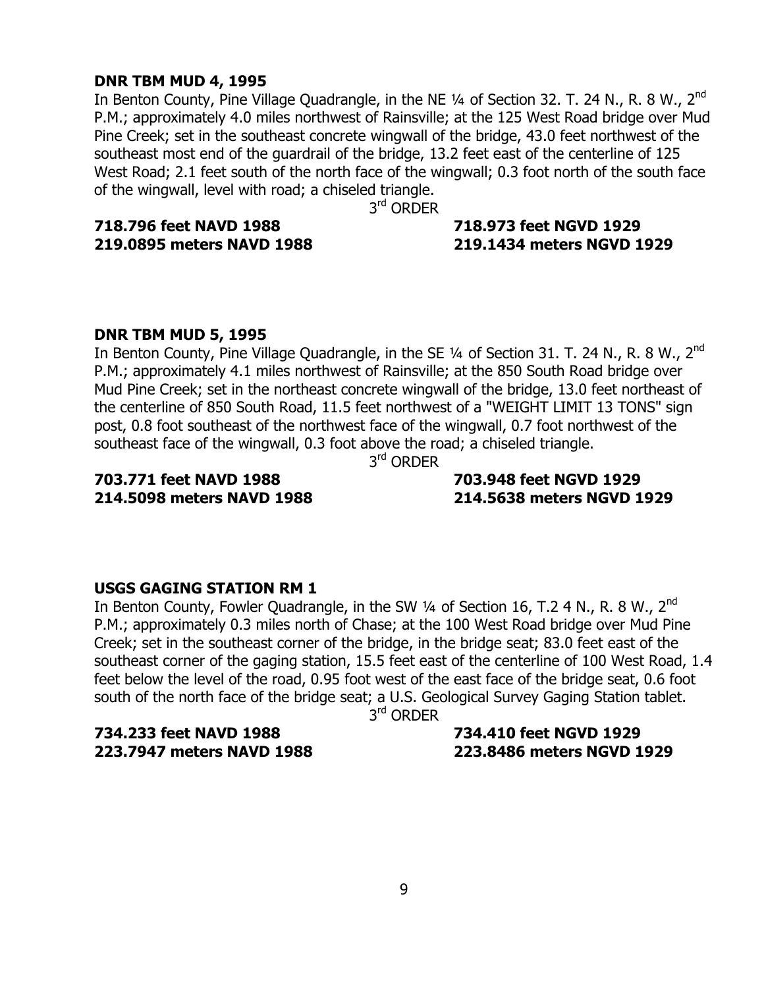#### **DNR TBM MUD 4, 1995**

In Benton County, Pine Village Quadrangle, in the NE  $\frac{1}{4}$  of Section 32. T. 24 N., R. 8 W., 2<sup>nd</sup> P.M.; approximately 4.0 miles northwest of Rainsville; at the 125 West Road bridge over Mud Pine Creek; set in the southeast concrete wingwall of the bridge, 43.0 feet northwest of the southeast most end of the guardrail of the bridge, 13.2 feet east of the centerline of 125 West Road; 2.1 feet south of the north face of the wingwall; 0.3 foot north of the south face of the wingwall, level with road; a chiseled triangle.

3<sup>rd</sup> ORDER

### **718.796 feet NAVD 1988 718.973 feet NGVD 1929**

### **219.0895 meters NAVD 1988 219.1434 meters NGVD 1929**

#### **DNR TBM MUD 5, 1995**

In Benton County, Pine Village Quadrangle, in the SE 1/4 of Section 31. T. 24 N., R. 8 W., 2<sup>nd</sup> P.M.; approximately 4.1 miles northwest of Rainsville; at the 850 South Road bridge over Mud Pine Creek; set in the northeast concrete wingwall of the bridge, 13.0 feet northeast of the centerline of 850 South Road, 11.5 feet northwest of a "WEIGHT LIMIT 13 TONS" sign post, 0.8 foot southeast of the northwest face of the wingwall, 0.7 foot northwest of the southeast face of the wingwall, 0.3 foot above the road; a chiseled triangle.

3<sup>rd</sup> ORDER

### **703.771 feet NAVD 1988 703.948 feet NGVD 1929**

**214.5098 meters NAVD 1988 214.5638 meters NGVD 1929** 

#### **USGS GAGING STATION RM 1**

In Benton County, Fowler Quadrangle, in the SW  $\frac{1}{4}$  of Section 16, T.2 4 N., R. 8 W., 2<sup>nd</sup> P.M.; approximately 0.3 miles north of Chase; at the 100 West Road bridge over Mud Pine Creek; set in the southeast corner of the bridge, in the bridge seat; 83.0 feet east of the southeast corner of the gaging station, 15.5 feet east of the centerline of 100 West Road, 1.4 feet below the level of the road, 0.95 foot west of the east face of the bridge seat, 0.6 foot south of the north face of the bridge seat; a U.S. Geological Survey Gaging Station tablet.

3<sup>rd</sup> ORDER

**734.233 feet NAVD 1988 734.410 feet NGVD 1929** 

### **223.7947 meters NAVD 1988 223.8486 meters NGVD 1929**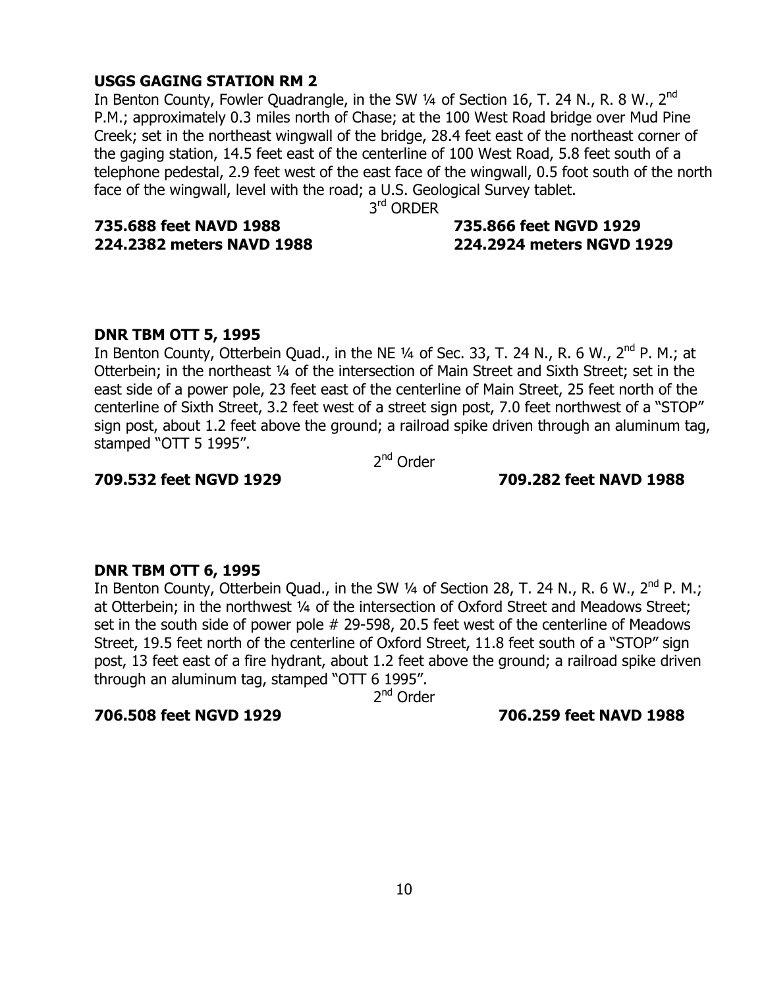#### **USGS GAGING STATION RM 2**

In Benton County, Fowler Quadrangle, in the SW  $\frac{1}{4}$  of Section 16, T. 24 N., R. 8 W., 2<sup>nd</sup> P.M.; approximately 0.3 miles north of Chase; at the 100 West Road bridge over Mud Pine Creek; set in the northeast wingwall of the bridge, 28.4 feet east of the northeast corner of the gaging station, 14.5 feet east of the centerline of 100 West Road, 5.8 feet south of a telephone pedestal, 2.9 feet west of the east face of the wingwall, 0.5 foot south of the north face of the wingwall, level with the road; a U.S. Geological Survey tablet.

3<sup>rd</sup> ORDER

**735.688 feet NAVD 1988 735.866 feet NGVD 1929** 

### **224.2382 meters NAVD 1988 224.2924 meters NGVD 1929**

### **DNR TBM OTT 5, 1995**

In Benton County, Otterbein Quad., in the NE  $\frac{1}{4}$  of Sec. 33, T. 24 N., R. 6 W., 2<sup>nd</sup> P. M.; at Otterbein; in the northeast 1/4 of the intersection of Main Street and Sixth Street; set in the east side of a power pole, 23 feet east of the centerline of Main Street, 25 feet north of the centerline of Sixth Street, 3.2 feet west of a street sign post, 7.0 feet northwest of a "STOP" sign post, about 1.2 feet above the ground; a railroad spike driven through an aluminum tag, stamped "OTT 5 1995".

2nd Order

#### **709.532 feet NGVD 1929 709.282 feet NAVD 1988**

#### **DNR TBM OTT 6, 1995**

In Benton County, Otterbein Quad., in the SW  $\frac{1}{4}$  of Section 28, T. 24 N., R. 6 W., 2<sup>nd</sup> P. M.; at Otterbein; in the northwest 1/4 of the intersection of Oxford Street and Meadows Street; set in the south side of power pole # 29-598, 20.5 feet west of the centerline of Meadows Street, 19.5 feet north of the centerline of Oxford Street, 11.8 feet south of a "STOP" sign post, 13 feet east of a fire hydrant, about 1.2 feet above the ground; a railroad spike driven through an aluminum tag, stamped "OTT  $6$  1995".

2<sup>nd</sup> Order

#### **706.508 feet NGVD 1929 706.259 feet NAVD 1988**